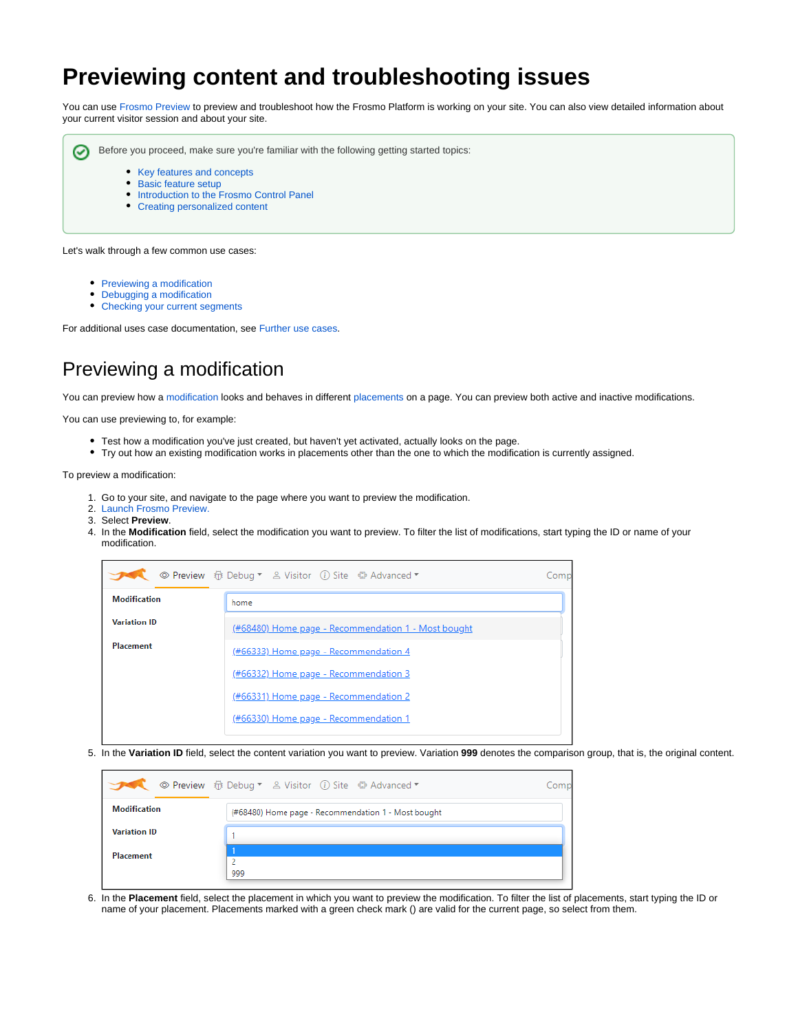# **Previewing content and troubleshooting issues**

You can use [Frosmo Preview](https://docs.frosmo.com/display/ui/Frosmo+Preview) to preview and troubleshoot how the Frosmo Platform is working on your site. You can also view detailed information about your current visitor session and about your site.

の

Before you proceed, make sure you're familiar with the following getting started topics:

- 
- [Key features and concepts](https://docs.frosmo.com/display/getstarted/Key+features+and+concepts) • [Basic feature setup](https://docs.frosmo.com/display/getstarted/Basic+feature+setup)
- [Introduction to the Frosmo Control Panel](https://docs.frosmo.com/display/getstarted/Introduction+to+the+Frosmo+Control+Panel)
- [Creating personalized content](https://docs.frosmo.com/display/getstarted/Creating+personalized+content)

Let's walk through a few common use cases:

- [Previewing a modification](#page-0-0)
- $\bullet$ [Debugging a modification](#page-2-0)
- [Checking your current segments](#page-5-0)

For additional uses case documentation, see [Further use cases.](#page-5-1)

## <span id="page-0-0"></span>Previewing a modification

You can preview how a [modification](https://docs.frosmo.com/display/getstarted/Key+features+and+concepts#Keyfeaturesandconcepts-Modification) looks and behaves in different [placements](https://docs.frosmo.com/display/getstarted/Key+features+and+concepts#Keyfeaturesandconcepts-Placement) on a page. You can preview both active and inactive modifications.

You can use previewing to, for example:

- Test how a modification you've just created, but haven't yet activated, actually looks on the page.
- Try out how an existing modification works in placements other than the one to which the modification is currently assigned.

To preview a modification:

- 1. Go to your site, and navigate to the page where you want to preview the modification.
- 2. [Launch Frosmo Preview.](https://docs.frosmo.com/display/ui/Frosmo+Preview#FrosmoPreview-LaunchingFrosmoPreview)
- 3. Select **Preview**.
- 4. In the **Modification** field, select the modification you want to preview. To filter the list of modifications, start typing the ID or name of your modification.

|                     | © Preview fit Debug ▼ & Visitor (i) Site # Advanced ▼ | Comp |
|---------------------|-------------------------------------------------------|------|
| <b>Modification</b> | home                                                  |      |
| <b>Variation ID</b> | (#68480) Home page - Recommendation 1 - Most bought   |      |
| Placement           | (#66333) Home page - Recommendation 4                 |      |
|                     | (#66332) Home page - Recommendation 3                 |      |
|                     | (#66331) Home page - Recommendation 2                 |      |
|                     | (#66330) Home page - Recommendation 1                 |      |
|                     |                                                       |      |

5. In the **Variation ID** field, select the content variation you want to preview. Variation **999** denotes the comparison group, that is, the original content.

|                     |                                                     | `omi |
|---------------------|-----------------------------------------------------|------|
| <b>Modification</b> | (#68480) Home page - Recommendation 1 - Most bought |      |
| <b>Variation ID</b> |                                                     |      |
| <b>Placement</b>    |                                                     |      |
|                     |                                                     |      |
|                     | 999                                                 |      |

6. In the **Placement** field, select the placement in which you want to preview the modification. To filter the list of placements, start typing the ID or name of your placement. Placements marked with a green check mark () are valid for the current page, so select from them.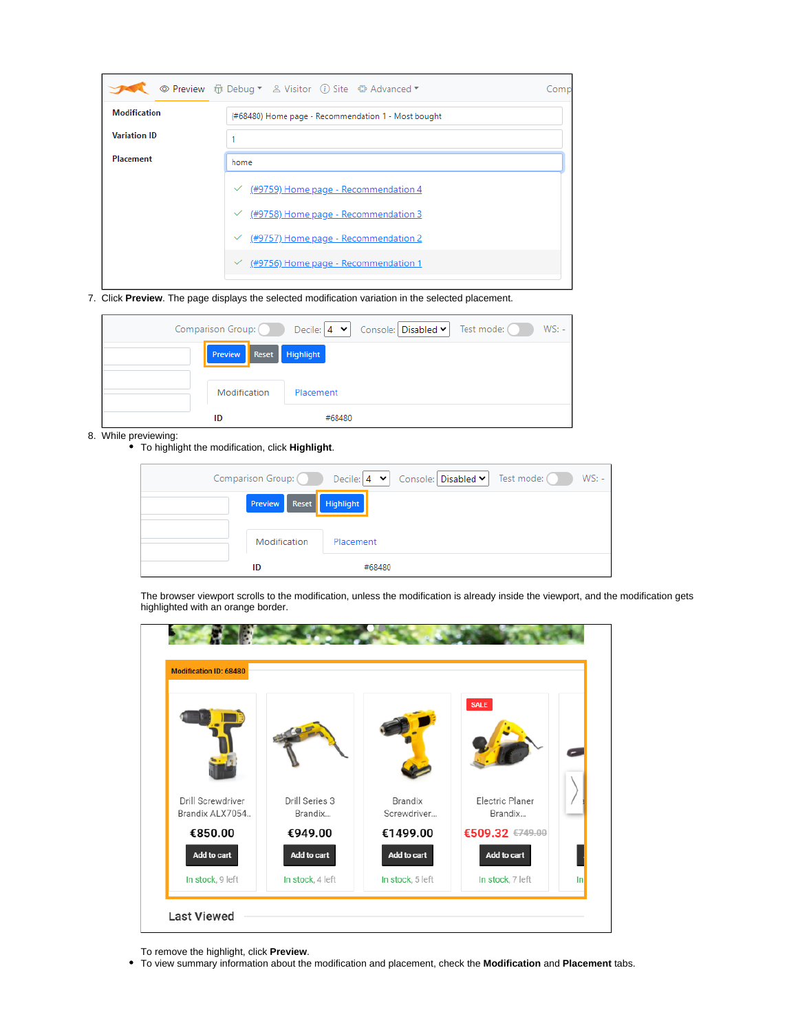|                     | ◎ Preview 1 Debug ▼ & Visitor (i) Site 1 the Advanced ▼ | Comp |
|---------------------|---------------------------------------------------------|------|
| <b>Modification</b> | (#68480) Home page - Recommendation 1 - Most bought     |      |
| <b>Variation ID</b> |                                                         |      |
| Placement           | home                                                    |      |
|                     | $\checkmark$ (#9759) Home page - Recommendation 4       |      |
|                     | $\checkmark$ (#9758) Home page - Recommendation 3       |      |
|                     | $\frac{49757}{49757}$ Home page - Recommendation 2      |      |
|                     | $\checkmark$ (#9756) Home page - Recommendation 1       |      |
|                     |                                                         |      |

7. Click **Preview**. The page displays the selected modification variation in the selected placement.

|                      | Comparison Group: $\bigcirc$ Decile: $\big 4 \blacktriangleright\big $ Console: Disabled $\blacktriangleright\big $ Test mode: $\bigcirc$ D<br>$WS: -$ |
|----------------------|--------------------------------------------------------------------------------------------------------------------------------------------------------|
| <b>Preview Reset</b> | Highlight                                                                                                                                              |
| Modification         | Placement                                                                                                                                              |
| ID                   | #68480                                                                                                                                                 |

- 8. While previewing:
	- To highlight the modification, click **Highlight**.

| Comparison Group: (Called | $WS: -$<br>Test mode:<br>Console: Disabled v<br>Decile: $ 4 \times$ |
|---------------------------|---------------------------------------------------------------------|
| <b>Preview</b> Reset      | <b>Highlight</b>                                                    |
| Modification              | Placement                                                           |
| ID                        | #68480                                                              |

The browser viewport scrolls to the modification, unless the modification is already inside the viewport, and the modification gets highlighted with an orange border.

| <b>Modification ID: 68480</b>        |                           |                        |                            |       |
|--------------------------------------|---------------------------|------------------------|----------------------------|-------|
|                                      |                           |                        | <b>SALE</b>                |       |
| Drill Screwdriver<br>Brandix ALX7054 | Drill Series 3<br>Brandix | Brandix<br>Screwdriver | Electric Planer<br>Brandix |       |
| €850.00                              | €949.00                   | €1499.00               | €509.32 €749.00            |       |
| Add to cart                          | Add to cart               | Add to cart            | Add to cart                |       |
| In stock, 9 left                     | In stock, 4 left          | In stock, 5 left       | In stock, 7 left           | $\ln$ |

To remove the highlight, click **Preview**.

To view summary information about the modification and placement, check the **Modification** and **Placement** tabs.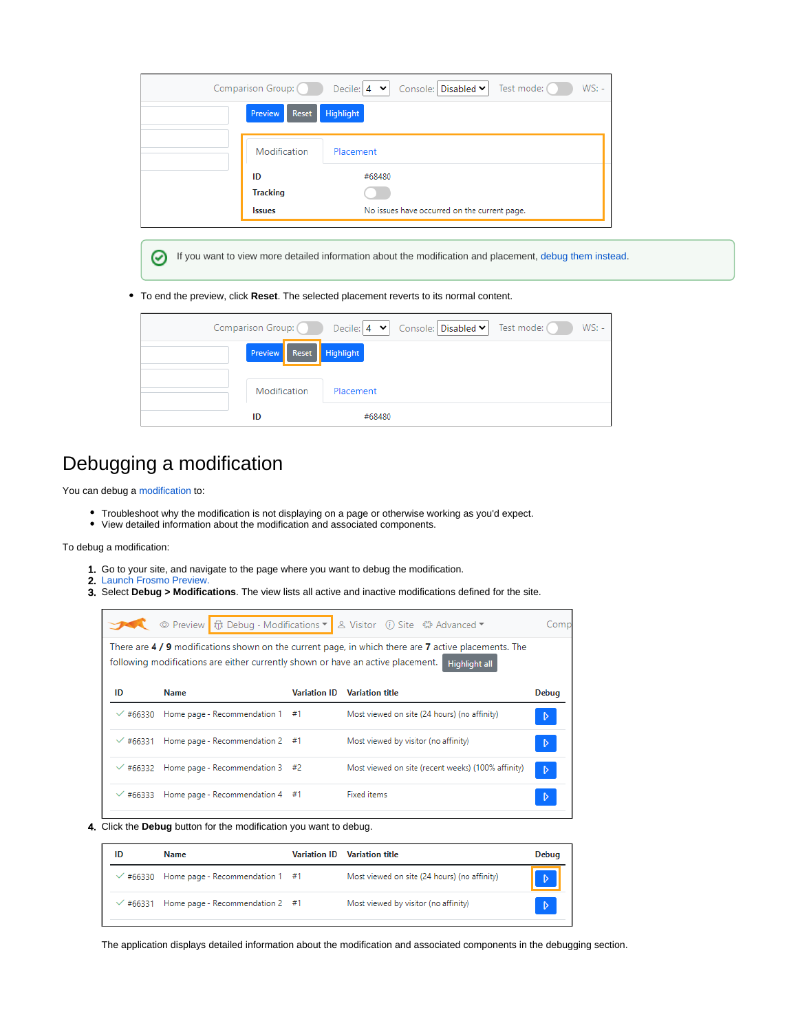| Comparison Group: | Test mode: (<br>$WS: -$<br>Decile: $ 4 \times  $ Console: Disabled $\times  $ |
|-------------------|-------------------------------------------------------------------------------|
| Preview<br>Reset  | <b>Highlight</b>                                                              |
| Modification      | Placement                                                                     |
| ID                | #68480                                                                        |
| <b>Tracking</b>   |                                                                               |
| <b>Issues</b>     | No issues have occurred on the current page.                                  |

If you want to view more detailed information about the modification and placement, debug them instead.⊘

#### To end the preview, click **Reset**. The selected placement reverts to its normal content.

|                         |           | Comparison Group: Decile: 4 v Console: Disabled v Test mode: 0 | $WS: -$ |
|-------------------------|-----------|----------------------------------------------------------------|---------|
| Preview Reset Highlight |           |                                                                |         |
| Modification            | Placement |                                                                |         |
| ID                      | #68480    |                                                                |         |

### <span id="page-2-0"></span>Debugging a modification

You can debug a [modification](https://docs.frosmo.com/display/getstarted/Key+features+and+concepts#Keyfeaturesandconcepts-Modification) to:

- Troubleshoot why the modification is not displaying on a page or otherwise working as you'd expect.
- View detailed information about the modification and associated components.

#### To debug a modification:

- 1. Go to your site, and navigate to the page where you want to debug the modification.
- 2. [Launch Frosmo Preview.](https://docs.frosmo.com/display/ui/Frosmo+Preview#FrosmoPreview-LaunchingFrosmoPreview)
- 3. Select **Debug > Modifications**. The view lists all active and inactive modifications defined for the site.

|                 |                                                                                 |                     | Site 4 Advanced ▼ © Preview G Debug - Modifications ▼ 2 Visitor (i) Site 4 Advanced ▼                                        | Comp  |
|-----------------|---------------------------------------------------------------------------------|---------------------|------------------------------------------------------------------------------------------------------------------------------|-------|
|                 | following modifications are either currently shown or have an active placement. |                     | There are 4 / 9 modifications shown on the current page, in which there are 7 active placements. The<br><b>Highlight all</b> |       |
| ID              | <b>Name</b>                                                                     | <b>Variation ID</b> | <b>Variation title</b>                                                                                                       | Debug |
| $\times$ #66330 | Home page - Recommendation 1 #1                                                 |                     | Most viewed on site (24 hours) (no affinity)                                                                                 | D     |
| $\times$ #66331 | Home page - Recommendation 2 #1                                                 |                     | Most viewed by visitor (no affinity)                                                                                         | D     |
|                 | $\sqrt{466332}$ Home page - Recommendation 3 #2                                 |                     | Most viewed on site (recent weeks) (100% affinity)                                                                           | D     |
|                 | $\sqrt{466333}$ Home page - Recommendation 4 #1                                 |                     | <b>Fixed items</b>                                                                                                           |       |

4. Click the **Debug** button for the modification you want to debug.

| ID     | <b>Name</b>                            | Variation ID Variation title                 | <b>Debug</b> |
|--------|----------------------------------------|----------------------------------------------|--------------|
|        | #66330 Home page - Recommendation 1 #1 | Most viewed on site (24 hours) (no affinity) |              |
| #66331 | Home page - Recommendation $2 \div 7$  | Most viewed by visitor (no affinity)         | D            |

The application displays detailed information about the modification and associated components in the debugging section.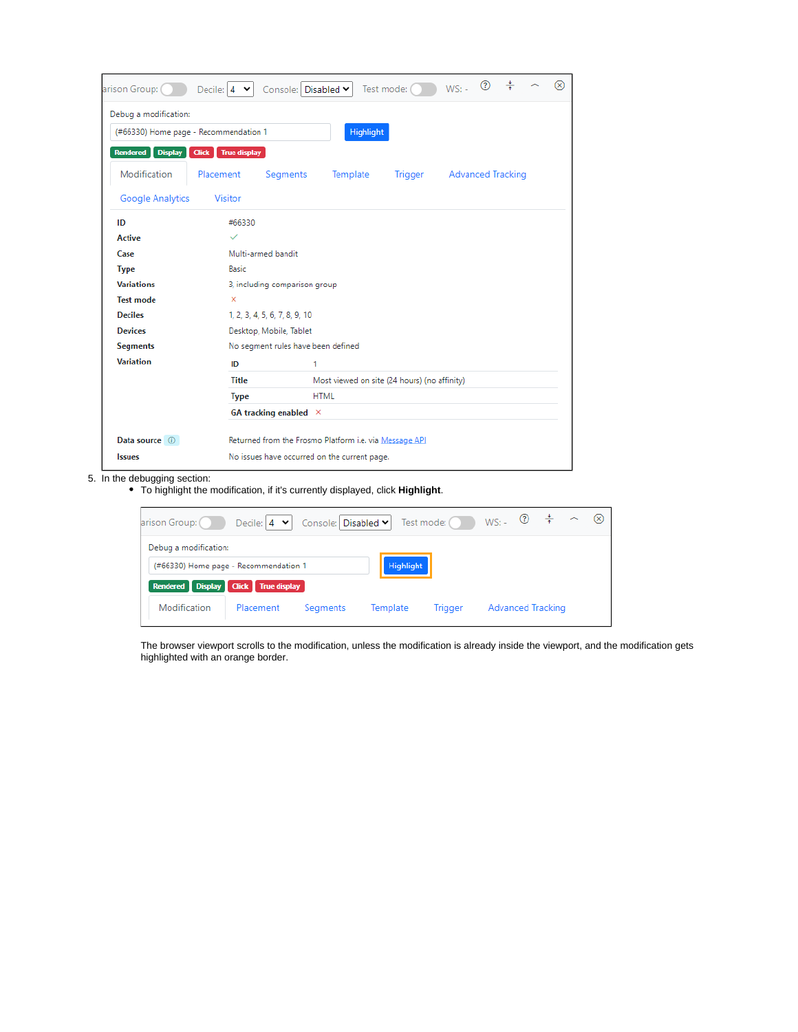| arison Group: (                       | Decile: $4 \times$                  | Console: Disabled Y                                    |             | Test mode: (                                 | $WS: -$                  | <b>⊙ ÷</b> |  | ∞ |
|---------------------------------------|-------------------------------------|--------------------------------------------------------|-------------|----------------------------------------------|--------------------------|------------|--|---|
| Debug a modification:                 |                                     |                                                        |             |                                              |                          |            |  |   |
| (#66330) Home page - Recommendation 1 |                                     |                                                        |             | <b>Highlight</b>                             |                          |            |  |   |
| Rendered<br><b>Display</b>            | <b>True display</b><br><b>Click</b> |                                                        |             |                                              |                          |            |  |   |
| Modification                          | Placement                           | Segments                                               | Template    | Trigger                                      | <b>Advanced Tracking</b> |            |  |   |
| Google Analytics                      | Visitor                             |                                                        |             |                                              |                          |            |  |   |
| ID                                    | #66330                              |                                                        |             |                                              |                          |            |  |   |
| <b>Active</b>                         | $\checkmark$                        |                                                        |             |                                              |                          |            |  |   |
| Case                                  |                                     | Multi-armed bandit                                     |             |                                              |                          |            |  |   |
| <b>Type</b>                           | <b>Basic</b>                        |                                                        |             |                                              |                          |            |  |   |
| <b>Variations</b>                     |                                     | 3, including comparison group                          |             |                                              |                          |            |  |   |
| <b>Test mode</b>                      | ×                                   |                                                        |             |                                              |                          |            |  |   |
| <b>Deciles</b>                        |                                     | 1, 2, 3, 4, 5, 6, 7, 8, 9, 10                          |             |                                              |                          |            |  |   |
| <b>Devices</b>                        |                                     | Desktop, Mobile, Tablet                                |             |                                              |                          |            |  |   |
| <b>Segments</b>                       |                                     | No segment rules have been defined                     |             |                                              |                          |            |  |   |
| <b>Variation</b>                      | ID                                  | 1                                                      |             |                                              |                          |            |  |   |
|                                       | <b>Title</b>                        |                                                        |             | Most viewed on site (24 hours) (no affinity) |                          |            |  |   |
|                                       | <b>Type</b>                         |                                                        | <b>HTML</b> |                                              |                          |            |  |   |
|                                       |                                     | GA tracking enabled $\times$                           |             |                                              |                          |            |  |   |
| Data source (i)                       |                                     | Returned from the Frosmo Platform i.e. via Message API |             |                                              |                          |            |  |   |
| <b>Issues</b>                         |                                     | No issues have occurred on the current page.           |             |                                              |                          |            |  |   |

5. In the debugging section:

To highlight the modification, if it's currently displayed, click **Highlight**.

| arison Group:                         | Decile: $ 4 \times$ | Console: Disabled v |                  | Test mode: () | $WS: -$ (2)              |  | (x) |
|---------------------------------------|---------------------|---------------------|------------------|---------------|--------------------------|--|-----|
| Debug a modification:                 |                     |                     |                  |               |                          |  |     |
| (#66330) Home page - Recommendation 1 |                     |                     | <b>Highlight</b> |               |                          |  |     |
| Rendered Display Click True display   |                     |                     |                  |               |                          |  |     |
| Modification                          | Placement           | Segments            | Template         | Trigger       | <b>Advanced Tracking</b> |  |     |

The browser viewport scrolls to the modification, unless the modification is already inside the viewport, and the modification gets highlighted with an orange border.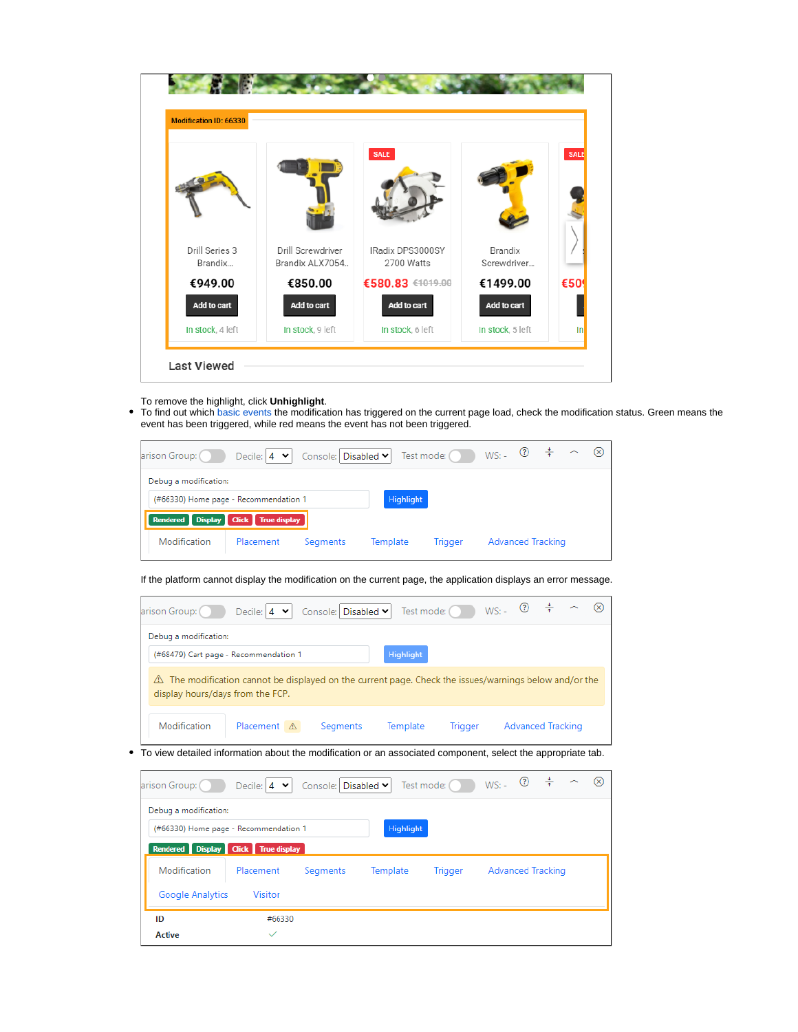| <b>Modification ID: 66330</b> |                   |                                 |                  |             |
|-------------------------------|-------------------|---------------------------------|------------------|-------------|
| Drill Series 3                | Drill Screwdriver | <b>SALE</b><br>IRadix DPS3000SY | <b>Brandix</b>   | <b>SALE</b> |
| Brandix                       | Brandix ALX7054   | 2700 Watts                      | Screwdriver      |             |
| €949.00                       | €850.00           | €580.83 €1019.00                | €1499.00         | €50         |
| Add to cart                   | Add to cart       | Add to cart                     | Add to cart      |             |
| In stock, 4 left              | In stock, 9 left  | In stock, 6 left                | In stock, 5 left | $\ln$       |

- To remove the highlight, click **Unhighlight**.
- $\bullet$ To find out which [basic events](https://docs.frosmo.com/display/platform/Data+collected+from+websites#Datacollectedfromwebsites-Modificationperformancedata) the modification has triggered on the current page load, check the modification status. Green means the event has been triggered, while red means the event has not been triggered.

| arison Group:                         | Decile: $ 4 \times$ | Console: Disabled v |           | Test mode: (Our) | $WS: -$ (2)              | $\rightarrow$ |  |
|---------------------------------------|---------------------|---------------------|-----------|------------------|--------------------------|---------------|--|
| Debug a modification:                 |                     |                     |           |                  |                          |               |  |
| (#66330) Home page - Recommendation 1 |                     |                     | Highlight |                  |                          |               |  |
| Rendered Display Click True display   |                     |                     |           |                  |                          |               |  |
| Modification                          | Placement           | Segments            | Template  | Trigger          | <b>Advanced Tracking</b> |               |  |
|                                       |                     |                     |           |                  |                          |               |  |

If the platform cannot display the modification on the current page, the application displays an error message.

| Debug a modification:            |                                                                                                      |                  |  |  |
|----------------------------------|------------------------------------------------------------------------------------------------------|------------------|--|--|
|                                  | (#68479) Cart page - Recommendation 1                                                                | <b>Highlight</b> |  |  |
|                                  | The modification cannot be displayed on the current page. Check the issues/warnings below and/or the |                  |  |  |
| display hours/days from the FCP. |                                                                                                      |                  |  |  |

• To view detailed information about the modification or an associated component, select the appropriate tab.

| arison Group: ( )     | Decile: $4 \times$                        | Console: Disabled v |                  | Test mode: ()  | $WS: - \circledcirc$ | $\rightarrow$<br>$\sim$ | - ⊗ |
|-----------------------|-------------------------------------------|---------------------|------------------|----------------|----------------------|-------------------------|-----|
| Debug a modification: |                                           |                     |                  |                |                      |                         |     |
|                       | (#66330) Home page - Recommendation 1     |                     | <b>Highlight</b> |                |                      |                         |     |
|                       | Rendered   Display   Click   True display |                     |                  |                |                      |                         |     |
| Modification          | Placement                                 | Segments            | Template         | <b>Trigger</b> | Advanced Tracking    |                         |     |
| Google Analytics      | Visitor                                   |                     |                  |                |                      |                         |     |
| ID                    | #66330                                    |                     |                  |                |                      |                         |     |
| <b>Active</b>         | $\checkmark$                              |                     |                  |                |                      |                         |     |